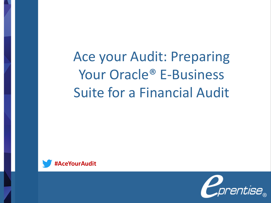Ace your Audit: Preparing Your Oracle® E-Business Suite for a Financial Audit



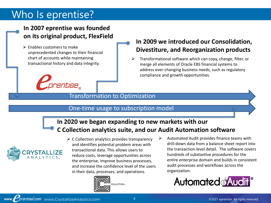### Who Is eprentise?

#### **In 2007 eprentise was founded on its original product, FlexField**

 $\triangleright$  Enables customers to make unprecedented changes to their financial chart of accounts while maintaining transactional history and data integrity.



#### **In 2009 we introduced our Consolidation, Divestiture, and Reorganization products**

➢ Transformational software which can copy, change, filter, or merge all elements of Oracle EBS financial systems to address ever-changing business needs, such as regulatory compliance and growth opportunities.

#### Transformation to Optimization

#### One-time usage to subscription model

### **In 2020 we began expanding to new markets with our C Collection analytics suite, and our Audit Automation software**



 $\triangleright$  C Collection analytics provides transparency and identifies potential problem areas with transactional data. This allows users to reduce costs, leverage opportunities across the enterprise, improve business processes, and increase the confidence level of the users in their data, processes, and operations.



➢ Automated Audit provides finance teams with drill-down data from a balance sheet report into the transaction-level detail. The software covers hundreds of substantive procedures for the entire enterprise domain and builds in consistent audit processes and workflows across the organization.

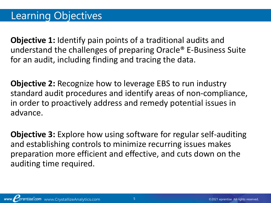**Objective 1:** Identify pain points of a traditional audits and understand the challenges of preparing Oracle® E-Business Suite for an audit, including finding and tracing the data.

**Objective 2:** Recognize how to leverage EBS to run industry standard audit procedures and identify areas of non-compliance, in order to proactively address and remedy potential issues in advance.

**Objective 3:** Explore how using software for regular self-auditing and establishing controls to minimize recurring issues makes preparation more efficient and effective, and cuts down on the auditing time required.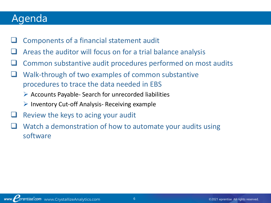### Agenda

- ❑ Components of a financial statement audit
- Areas the auditor will focus on for a trial balance analysis
- ❑ Common substantive audit procedures performed on most audits
- Walk-through of two examples of common substantive procedures to trace the data needed in EBS
	- ➢ Accounts Payable- Search for unrecorded liabilities
	- $\triangleright$  Inventory Cut-off Analysis- Receiving example
- Review the keys to acing your audit
- Watch a demonstration of how to automate your audits using software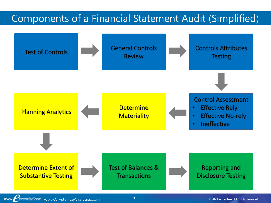### Components of a Financial Statement Audit (Simplified)

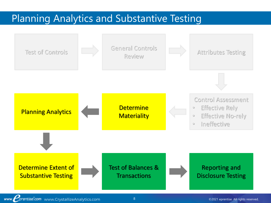### Planning Analytics and Substantive Testing



www. prentise.com www.CrystallizeAnalytics.com 8 and 8 C2021 eprentise. All rights reserved.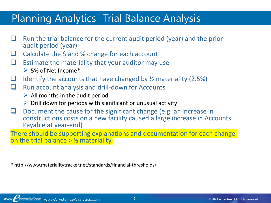### Planning Analytics -Trial Balance Analysis

- ❑ Run the trial balance for the current audit period (year) and the prior audit period (year)
- ❑ Calculate the \$ and % change for each account
- $\Box$  Estimate the materiality that your auditor may use
	- $\geq$  5% of Net Income\*
- $\Box$  Identify the accounts that have changed by  $\frac{1}{2}$  materiality (2.5%)
- ❑ Run account analysis and drill-down for Accounts
	- $\triangleright$  All months in the audit period
	- $\triangleright$  Drill down for periods with significant or unusual activity
- $\Box$  Document the cause for the significant change (e.g. an increase in constructions costs on a new facility caused a large increase in Accounts Payable at year-end)

There should be supporting explanations and documentation for each change on the trial balance  $>$  1/2 materiality.

\* http://www.materialitytracker.net/standards/financial-thresholds/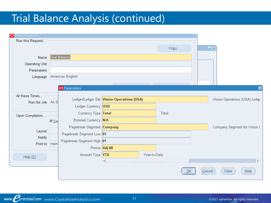# Trial Balance Analysis (continued)

| submit Request<br>lol |     |                           |                                           |              |       | lх          |        |                               |
|-----------------------|-----|---------------------------|-------------------------------------------|--------------|-------|-------------|--------|-------------------------------|
| Run this Request      |     |                           |                                           |              |       |             |        |                               |
|                       |     |                           |                                           |              | Copy  |             |        | $\Box$ x                      |
|                       |     |                           |                                           |              |       |             |        |                               |
| Name                  |     | Trial Balance             |                                           |              |       |             |        |                               |
| Operating Unit        |     |                           |                                           |              |       |             |        |                               |
| Parameters            |     |                           |                                           |              |       |             |        |                               |
| Language              |     | American English          |                                           |              |       |             |        |                               |
|                       |     |                           |                                           |              |       |             |        |                               |
|                       |     | O Parameters              |                                           |              |       |             |        | 図                             |
| At these Times        |     |                           |                                           |              |       |             |        |                               |
| Run the Job As S      |     |                           | Ledger/Ledger Set Vision Operations (USA) |              |       |             |        | Vision Operations (USA) Ledge |
|                       |     | Ledger Currency USD       |                                           |              |       |             |        |                               |
| Upon Completion       |     | Currency Type Total       |                                           |              | Total |             |        |                               |
|                       | ⊠§अ | Entered Currency N/A      |                                           |              |       |             |        |                               |
|                       |     | Pagebreak Segment Company |                                           |              |       |             |        | Company Segment for Vision (  |
| Layout                |     | Pagebreak Segment Low 01  |                                           |              |       |             |        |                               |
| Notify                |     | Pagebreak Segment High 01 |                                           |              |       |             |        |                               |
| Print to nopri        |     |                           | Period Adj-08                             |              |       |             |        |                               |
|                       |     | Amount Type <b>YTD</b>    |                                           | Year-to-Date |       |             |        |                               |
| Help $(\subseteq)$    |     |                           | €                                         |              |       |             |        | $\vert \mathbf{E} \vert$      |
|                       |     |                           |                                           |              |       |             |        |                               |
|                       |     |                           |                                           |              |       | <u>.ek </u> | Cancel | Clear<br>Help                 |
|                       |     |                           |                                           |              |       |             |        |                               |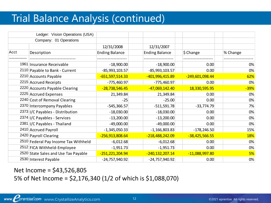# Trial Balance Analysis (continued)

|      | Ledger: Vision Operations (USA)      |                       |                       |                  |          |
|------|--------------------------------------|-----------------------|-----------------------|------------------|----------|
|      | Company: 01 Operations               |                       |                       |                  |          |
|      |                                      | 12/31/2008            | 12/31/2007            |                  |          |
| Acct | Description                          | <b>Ending Balance</b> | <b>Ending Balance</b> | $$$ Change       | % Change |
|      |                                      |                       |                       |                  |          |
|      | 1961 Insurance Receivable            | $-18,900.00$          | $-18,900.00$          | 0.00             | 0%       |
|      | 2110 Payable to Bank - Current       | $-85,993,103.57$      | $-85,993,103.57$      | 0.00             | 0%       |
|      | 2210 Accounts Payable                | $-651,597,514.33$     | -401,996,415.89       | -249,601,098.44  | 62%      |
|      | 2215 Accrued Receipts                | $-775,460.97$         | $-775,460.97$         | 0.00             | 0%       |
|      | 2220 Accounts Payable Clearing       | $-28,738,546.45$      | -47,069,142.40        | 18,330,595.95    | $-39%$   |
|      | 2225 Accrued Expenses                | 21,349.84             | 21,349.84             | 0.00             | 0%       |
|      | 2240 Cost of Removal Clearing        | $-25$                 | $-25.00$              | 0.00             | 0%       |
|      | 2370 Intercompany Payables           | $-545,366.57$         | $-511,591.78$         | $-33,774.79$     | 7%       |
|      | 2373 I/C Payables - Distribution     | $-18,030.00$          | $-18,030.00$          | 0.00             | 0%       |
|      | 2374 I/C Payables - Services         | $-13,200.00$          | $-13,200.00$          | 0.00             | 0%       |
|      | 2381   I/C Payables - Thailand       | $-49,000.00$          | $-49,000.00$          | 0.00             | 0%       |
|      | 2410 Accrued Payroll                 | $-1,345,050.33$       | $-1,166,803.83$       | $-178,246.50$    | 15%      |
|      | 2420 Payroll Clearing                | -256,913,808.64       | -218,488,242.09       | $-38,425,566.55$ | 18%      |
|      | 2510 Federal Pay Income Tax Withheld | $-6,012.68$           | $-6,012.68$           | 0.00             | 0%       |
|      | 2512 FICA Withheld-Employee          | $-1,951.73$           | $-1,951.73$           | 0.00             | 0%       |
|      | 2520 State Sales and Use Tax Payable | -251,221,204.94       | $-240, 132, 207.14$   | $-11,088,997.80$ | 5%       |
|      | 2530 Interest Payable                | $-24,757,940.92$      | $-24,757,940.92$      | 0.00             | 0%       |

Net Income = \$43,526,805 5% of Net Income = \$2,176,340 (1/2 of which is \$1,088,070)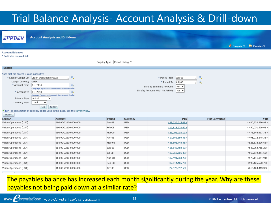# Trial Balance Analysis- Account Analysis & Drill-down

|                                                                                                                                                            | <b>Account Analysis and Drilldown</b>                                                                                                                                                                                                                                                                                                                            |              |                  |                                                                                                                                           |                               |                                                                                 |
|------------------------------------------------------------------------------------------------------------------------------------------------------------|------------------------------------------------------------------------------------------------------------------------------------------------------------------------------------------------------------------------------------------------------------------------------------------------------------------------------------------------------------------|--------------|------------------|-------------------------------------------------------------------------------------------------------------------------------------------|-------------------------------|---------------------------------------------------------------------------------|
| EPRDEV                                                                                                                                                     |                                                                                                                                                                                                                                                                                                                                                                  |              |                  |                                                                                                                                           |                               |                                                                                 |
|                                                                                                                                                            |                                                                                                                                                                                                                                                                                                                                                                  |              |                  |                                                                                                                                           |                               | <b>n</b> Navigator $\blacktriangledown$ <b>R</b> Favorites $\blacktriangledown$ |
| <b>Account Balances</b>                                                                                                                                    |                                                                                                                                                                                                                                                                                                                                                                  |              |                  |                                                                                                                                           |                               |                                                                                 |
| * Indicates required field                                                                                                                                 |                                                                                                                                                                                                                                                                                                                                                                  |              |                  |                                                                                                                                           |                               |                                                                                 |
|                                                                                                                                                            |                                                                                                                                                                                                                                                                                                                                                                  | Inquiry Type | Period Listing V |                                                                                                                                           |                               |                                                                                 |
| <b>Search</b>                                                                                                                                              |                                                                                                                                                                                                                                                                                                                                                                  |              |                  |                                                                                                                                           |                               |                                                                                 |
| Note that the search is case insensitive<br>Ledger Currency USD<br>* Account From<br>* Account To<br><b>Balance Type</b><br>Currency Type<br><b>Export</b> | $\mathbf Q$<br>* Ledger/Ledger Set Vision Operations (USA)<br>勖<br>$ 01 - 2210 -$<br>Company-Department-Account-Sub-Account-Product<br>鼠<br>$ 01 - 2210 -$<br>Company-Department-Account-Sub-Account-Product<br>Actual<br>$\checkmark$<br>$\checkmark$<br>Total<br>Go<br>Clear<br>TIP For explanation of currency codes used in this page, see the currency key. |              |                  | * Period From<br>Jan-08<br>* Period To<br>Adj-08<br>Display Summary Accounts<br>∣No ∨<br>Display Accounts With No Activity<br>$ Yes \vee$ | Q<br>$\overline{\mathcal{L}}$ |                                                                                 |
| Ledger $\triangle$                                                                                                                                         | <b>Account</b>                                                                                                                                                                                                                                                                                                                                                   | Period       | Currency         | <b>PTD</b>                                                                                                                                | <b>PTD Converted</b>          | <b>YTD</b>                                                                      |
| Vision Operations (USA)                                                                                                                                    | 01-000-2210-0000-000                                                                                                                                                                                                                                                                                                                                             | Jan-08       | <b>USD</b>       | $\leq$ 28,236,515.03>                                                                                                                     |                               | <430,232,930.92>                                                                |
| Vision Operations (USA)                                                                                                                                    | 01-000-2210-0000-000                                                                                                                                                                                                                                                                                                                                             | Feb-08       | <b>USD</b>       | $\leq$ 19,818,578.69>                                                                                                                     |                               | $<$ 450,051,509.61>                                                             |
| Vision Operations (USA)                                                                                                                                    | 01-000-2210-0000-000                                                                                                                                                                                                                                                                                                                                             | Mar-08       | <b>USD</b>       | $\leq$ 23,292,958.12>                                                                                                                     |                               | $<$ 473,344,467.73>                                                             |
| Vision Operations (USA)                                                                                                                                    | 01-000-2210-0000-000                                                                                                                                                                                                                                                                                                                                             | Apr-08       | <b>USD</b>       | $\leq$ 17,668,380.58>                                                                                                                     |                               | $<$ 491,012,848.31>                                                             |
| Vision Operations (USA)                                                                                                                                    | 01-000-2210-0000-000                                                                                                                                                                                                                                                                                                                                             | May-08       | <b>USD</b>       | $\leq$ 35,501,448.35>                                                                                                                     |                               | $<$ 526,514,296.66>                                                             |
| Vision Operations (USA)                                                                                                                                    | 01-000-2210-0000-000                                                                                                                                                                                                                                                                                                                                             | Jun-08       | <b>USD</b>       | $\leq$ 16,848,468.63>                                                                                                                     |                               | $<$ 543,362,765.29>                                                             |
| Vision Operations (USA)                                                                                                                                    | 01-000-2210-0000-000                                                                                                                                                                                                                                                                                                                                             | $Jul-08$     | <b>USD</b>       | $\leq$ 17,256,686.40>                                                                                                                     |                               | $<$ 560,619,451.69>                                                             |
| Vision Operations (USA)                                                                                                                                    | 01-000-2210-0000-000                                                                                                                                                                                                                                                                                                                                             | Aug-08       | <b>USD</b>       | $\leq$ 17,491,603.22>                                                                                                                     |                               | $<$ 578,111,054.91>                                                             |
| Vision Operations (USA)                                                                                                                                    | 01-000-2210-0000-000                                                                                                                                                                                                                                                                                                                                             | Sep-08       | <b>USD</b>       | $\leq$ 12,014,465.79>                                                                                                                     |                               | $<$ 590,125,520.70 $>$                                                          |
| Vision Operations (USA)                                                                                                                                    | 01-000-2210-0000-000                                                                                                                                                                                                                                                                                                                                             | Oct-08       | <b>USD</b>       | $<$ 22,978,892.68>                                                                                                                        |                               | $<$ 613,104,413.38>                                                             |

#### The payables balance has increased each month significantly during the year. Why are these payables not being paid down at a similar rate?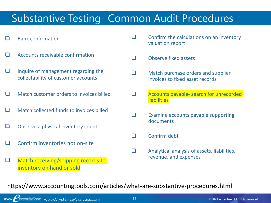## Substantive Testing- Common Audit Procedures

- ❑ Bank confirmation
- ❑ Accounts receivable confirmation
- ❑ Inquire of management regarding the collectability of customer accounts
- ❑ Match customer orders to invoices billed
- ❑ Match collected funds to invoices billed
- ❑ Observe a physical inventory count
- ❑ Confirm inventories not on-site
- ❑ Match receiving/shipping records to inventory on hand or sold
- $\Box$  Confirm the calculations on an inventory valuation report
- ❑ Observe fixed assets
- ❑ Match purchase orders and supplier invoices to fixed asset records
- ❑ Accounts payable- search for unrecorded liabilities
- ❑ Examine accounts payable supporting documents
- ❑ Confirm debt
- ❑ Analytical analysis of assets, liabilities, revenue, and expenses

https://www.accountingtools.com/articles/what-are-substantive-procedures.html

www. CrystallizeAnalytics.com 14 Contract Com C2021 eprentise. All rights reserved.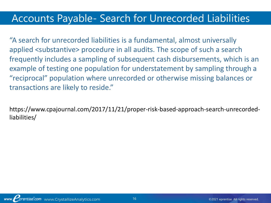### Accounts Payable- Search for Unrecorded Liabilities

"A search for unrecorded liabilities is a fundamental, almost universally applied <substantive> procedure in all audits. The scope of such a search frequently includes a sampling of subsequent cash disbursements, which is an example of testing one population for understatement by sampling through a "reciprocal" population where unrecorded or otherwise missing balances or transactions are likely to reside."

https://www.cpajournal.com/2017/11/21/proper-risk-based-approach-search-unrecordedliabilities/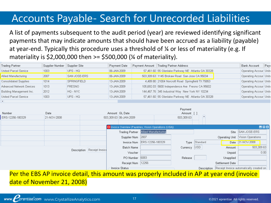# Accounts Payable- Search for Unrecorded Liabilities

A list of payments subsequent to the audit period (year) are reviewed identifying significant payments that may indicate amounts that should have been accrued as a liability (payable) at year-end. Typically this procedure uses a threshold of ¼ or less of materiality (e.g. If materiality is  $$2,000,000$  then  $>= $500,000$  ( $\frac{1}{4}$  of materiality).

| Trading Partner              | Supplier Number | Supplier Site       | Payment Date | Payment Amount | Trading Partner Address                           | Bank Account           | $ {\sf Pay}$ |
|------------------------------|-----------------|---------------------|--------------|----------------|---------------------------------------------------|------------------------|--------------|
| United Parcel Service        | 1003            | UPS - HQ            | 106-JAN-2009 |                | 57,461.60 55 Glenlake Parkway NE Atlanta GA 30328 | Operating Accour Unite |              |
| Allied Manufacturing         | 2007            | <b>SAN JOSE-ERS</b> | 106-JAN-2009 |                | 503,309.63 1145 Brokaw Road San Jose CA 95034     | Operating Accour Unite |              |
| <b>Consolidated Supplies</b> | 1014            | SPRINGFIELD         | 13-JAN-2009  |                | 4,489.80 21004 Norcroft Road Springfield TX 75853 | Operating Accour Unite |              |
| Advanced Network Devices     | 1013            | <b>FRESNO</b>       | 13-JAN-2009  |                | 105,692.03 5600 Independence Ave Fresno CA 95602  | Operating Accour Unite |              |
| Building Management Inc.     | 2012            | HQ - NYC            | 13-JAN-2009  |                | 144,467.76 345 Industrial Way New York NY 10234   | Operating Accour Unite |              |
| United Parcel Service        | 1003            | UPS - HQ            | 13-JAN-2009  |                | 57,461.60 55 Glenlake Parkway NE Atlanta GA 30328 | Operating Accour Unite |              |
|                              |                 |                     |              |                |                                                   |                        |              |

|                  |                                                                                            |                             |                                                        |                                             |  | <b>Payment</b> |               |                 |                                                      |
|------------------|--------------------------------------------------------------------------------------------|-----------------------------|--------------------------------------------------------|---------------------------------------------|--|----------------|---------------|-----------------|------------------------------------------------------|
| Number           | Date                                                                                       |                             | Amount GL Date                                         |                                             |  | Amount         |               |                 |                                                      |
| ERS-12256-180329 | 21-NOV-2008                                                                                |                             | 503,309.63 06-JAN-2009                                 |                                             |  | 503,309.63     |               |                 |                                                      |
|                  |                                                                                            |                             |                                                        |                                             |  |                |               |                 |                                                      |
|                  |                                                                                            |                             | O Invoice Overview (Payables, Vision Operations (USA)) |                                             |  |                |               |                 | 昌回图                                                  |
|                  |                                                                                            |                             |                                                        | <b>Trading Partner</b> Allied Manufacturing |  |                |               |                 | Site SAN JOSE-ERS                                    |
|                  |                                                                                            |                             | Supplier Num 2007                                      |                                             |  |                |               |                 | Operating Unit   Vision Operations                   |
|                  |                                                                                            |                             |                                                        | Invoice Num ERS-12256-180329                |  |                | Type Standard |                 | Date 21-NOV-2008                                     |
|                  | Batch Name                                                                                 |                             |                                                        | Currency USD                                |  | Amount         | 503,309.63    |                 |                                                      |
|                  |                                                                                            | Description Receipt Invoice | Voucher                                                |                                             |  |                |               | Unpaid          | 0.00                                                 |
|                  |                                                                                            |                             | PO Number                                              | 6083                                        |  | Release        |               | Unapplied       |                                                      |
|                  |                                                                                            |                             | Receipt Num   12256                                    |                                             |  |                |               | Settlement Date |                                                      |
|                  |                                                                                            |                             | <b>Invoice Status</b>                                  |                                             |  |                |               |                 | Description Receipt Invoice automatically created on |
|                  | Der the EDC AD invoice detail this amount was preparly included in AD at vear and linvoice |                             |                                                        |                                             |  |                |               |                 |                                                      |

<u>Invoice detail, this amount was properly included in AP at year end</u> date of November 21, 2008)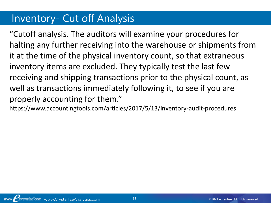### Inventory- Cut off Analysis

"Cutoff analysis. The auditors will examine your procedures for halting any further receiving into the warehouse or shipments from it at the time of the physical inventory count, so that extraneous inventory items are excluded. They typically test the last few receiving and shipping transactions prior to the physical count, as well as transactions immediately following it, to see if you are properly accounting for them."

https://www.accountingtools.com/articles/2017/5/13/inventory-audit-procedures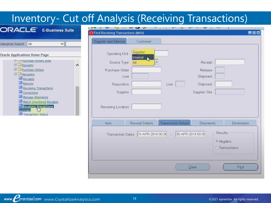| <b>Inventory- Cut off Analysis (Receiving Transactions)</b>                                                                      |                                   |                                     |                            |                                       |                                     |
|----------------------------------------------------------------------------------------------------------------------------------|-----------------------------------|-------------------------------------|----------------------------|---------------------------------------|-------------------------------------|
| <b>ORACLE</b> E-Business Suite                                                                                                   | Find Receiving Transactions (M4N) |                                     |                            |                                       | 書回窗                                 |
| Enterprise Search   All<br>$\vee$                                                                                                | Supplier and Internal             | Customer                            |                            |                                       |                                     |
| <b>Oracle Applications Home Page</b>                                                                                             | Operating Unit                    | Supplier<br>Internal                |                            |                                       |                                     |
| Purchase Orders India<br>$\bigoplus$ Receipts                                                                                    | Source Type                       | All                                 |                            | Receipt                               |                                     |
| <b>ED</b> Purchase Orders                                                                                                        | Purchase Order                    |                                     |                            | Release                               |                                     |
| <b>B</b> Receiving                                                                                                               | Line                              |                                     |                            | Shipment                              |                                     |
| <b>Receipts</b><br><b>Returns</b>                                                                                                | Requisition                       |                                     | Line                       | Shipment                              |                                     |
| Receiving Transactions                                                                                                           |                                   |                                     |                            |                                       |                                     |
| Corrections<br>Manage Shipments<br>Match Unordered Receipts<br><b>ED</b> Receiving Transactions<br>Summarv<br>Transaction Status | Supplier<br>Receiving Location    |                                     |                            | Supplier Site                         |                                     |
|                                                                                                                                  | Item                              | <b>Receipt Details</b>              | <b>Transaction Details</b> | Shipments                             | Destination                         |
|                                                                                                                                  |                                   | Transaction Dates 01-APR-2014 00:00 |                            | Results<br>30-APR-2014 00:00<br>Clear | · Headers<br>O Transactions<br>Find |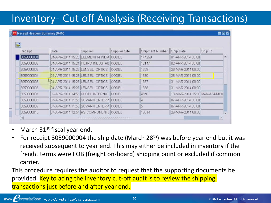• March  $31^{st}$  fiscal year end.

**Receipt Headers Summary (M4N)** 

• For receipt 3059000004 the ship date (March 28<sup>th</sup>) was before year end but it was received subsequent to year end. This may either be included in inventory if the freight terms were FOB (freight on-board) shipping point or excluded if common carrier.

This procedure requires the auditor to request that the supporting documents be provided. Key to acing the inventory cut-off audit is to review the shipping transactions just before and after year end.

昌国区

## Inventory- Cut off Analysis (Receiving Transactions)

| Receipt                | Date                             | Supplier                                 | Supplier Site | Shipment Number | Ship Date                     | Ship To |
|------------------------|----------------------------------|------------------------------------------|---------------|-----------------|-------------------------------|---------|
| 3059000001             |                                  | 04-APR-2014 15:20 ELEMENT14 INDIA CODEL  |               | 144259          | 01-APR-2014 00:00             |         |
| 3059000002             |                                  | 04-APR-2014 15:21 FILTRO INDUSTRIE CODEL |               | 12147           | 02-APR-2014 00:00             |         |
| 3059000003             | 04-APR-2014 15:23 LENSEL OPTICS  |                                          | <b>ICODEL</b> | 1329            | 28-MAR-2014 00:00             |         |
| 3059000004             | 04-APR-2014 15:25 LENSEL         | OPTICS                                   | <b>ICODEL</b> | 1330            | 28-MAR-2014 00:00             |         |
| 3059000005             | 404-APR-2014 15:26 LENSEL OPTICS |                                          | <b>CODEL</b>  | 1337            | 31-MAR-2014 00:00             |         |
| 3059000006             | 04-APR-2014 15:27 LENSEL OPTICS  |                                          | <b>ICODEL</b> | 1338            | 31-MAR-2014 00:00             |         |
| 3059000007             |                                  | [02-APR-2014 14:58 CODEL INTERNAT CODEL  |               | 4876            | 13-MAR-2014 15:00 M4N-A34-MID |         |
| 13059000008            | 07-APR-2014 11:55 SUVARN ENTERP  |                                          | ICODEL        |                 | 07-APR-2014 00:00             |         |
| 13059000009            |                                  | 07-APR-2014 11:56 SUVARN ENTERP CODEL    |               |                 | 07-APR-2014 00:00             |         |
| 13059000010            |                                  | 07-APR-2014 12:54 RS COMPONENTS CODEL    |               | 16014           | 26-MAR-2014 00:00             |         |
| $\left  \cdot \right $ |                                  |                                          |               |                 |                               |         |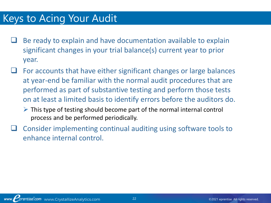### Keys to Acing Your Audit

- Be ready to explain and have documentation available to explain significant changes in your trial balance(s) current year to prior year.
- For accounts that have either significant changes or large balances at year-end be familiar with the normal audit procedures that are performed as part of substantive testing and perform those tests on at least a limited basis to identify errors before the auditors do.
	- $\triangleright$  This type of testing should become part of the normal internal control process and be performed periodically.
- ❑ Consider implementing continual auditing using software tools to enhance internal control.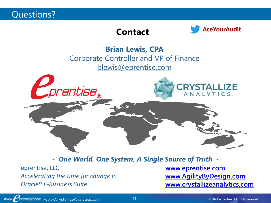Questions?

### **Contact**



**Brian Lewis, CPA** Corporate Controller and VP of Finance [blewis@eprentise.com](mailto:blewis@eprentise.com)



*- One World, One System, A Single Source of Truth -*

eprentise, LLC *Accelerating the time for change in Oracle® E-Business Suite*

**[www.eprentise.com](http://www.eprentise.com/) [www.AgilityByDesign.com](http://www.agilitybydesign.com/) [www.crystallizeanalytics.com](http://www.crystallizeanalytics.com/)**